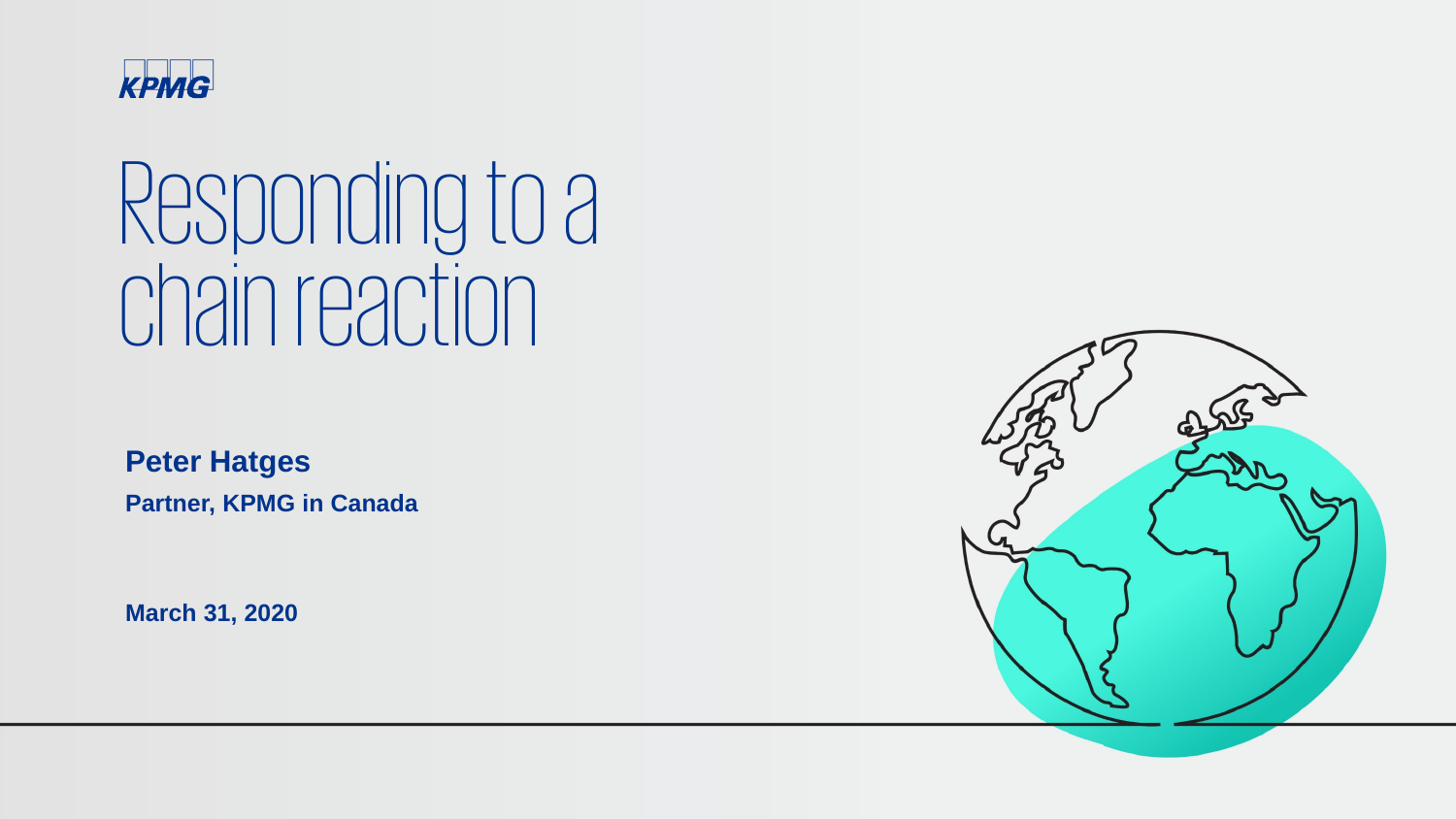

## Responding to a chain reaction

**Peter Hatges Partner, KPMG in Canada**

**March 31, 2020**

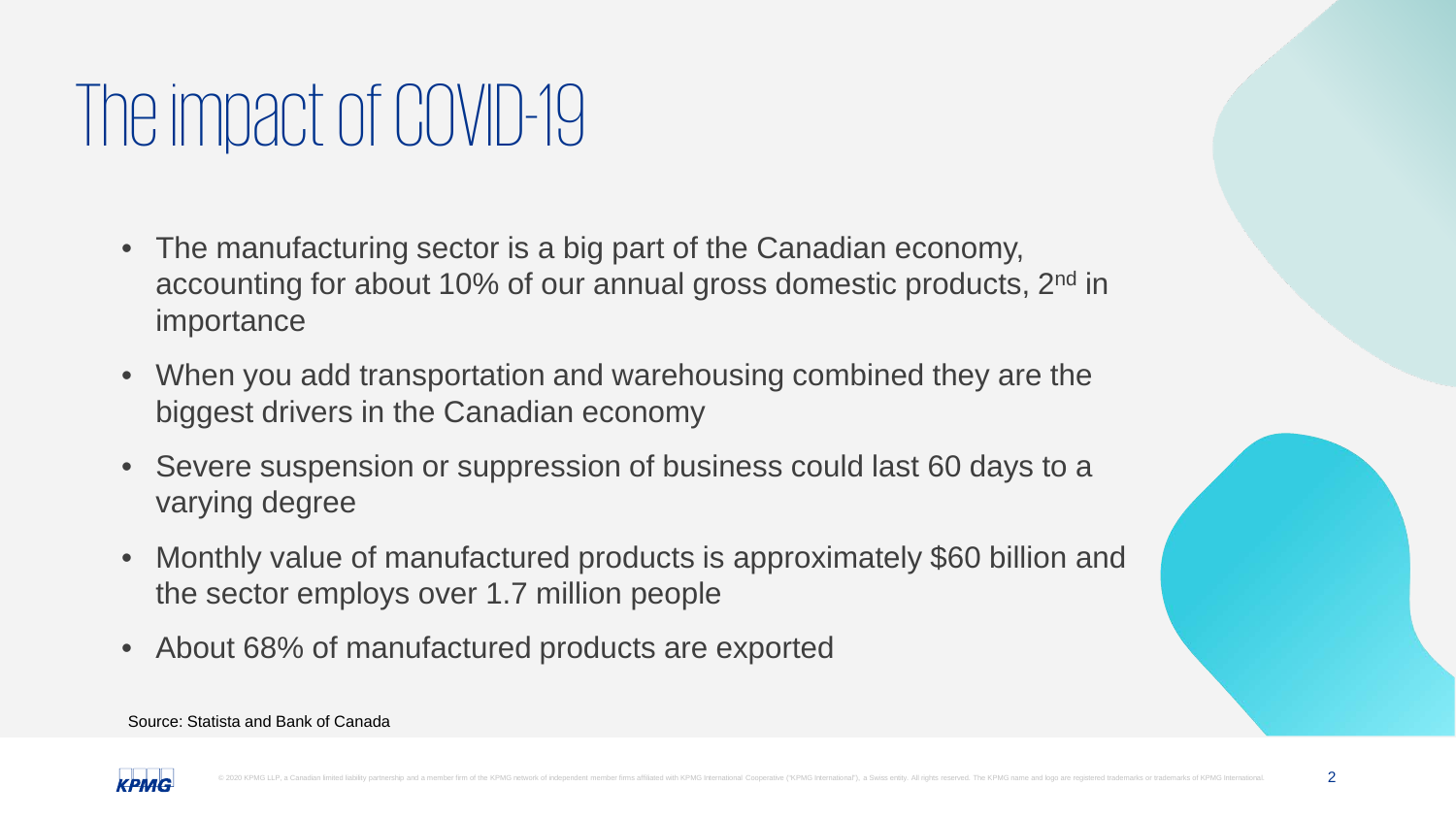### The impact of COVID-19

- The manufacturing sector is a big part of the Canadian economy, accounting for about 10% of our annual gross domestic products, 2<sup>nd</sup> in importance
- When you add transportation and warehousing combined they are the biggest drivers in the Canadian economy
- Severe suspension or suppression of business could last 60 days to a varying degree
- Monthly value of manufactured products is approximately \$60 billion and the sector employs over 1.7 million people
- About 68% of manufactured products are exported



Source: Statista and Bank of Canada

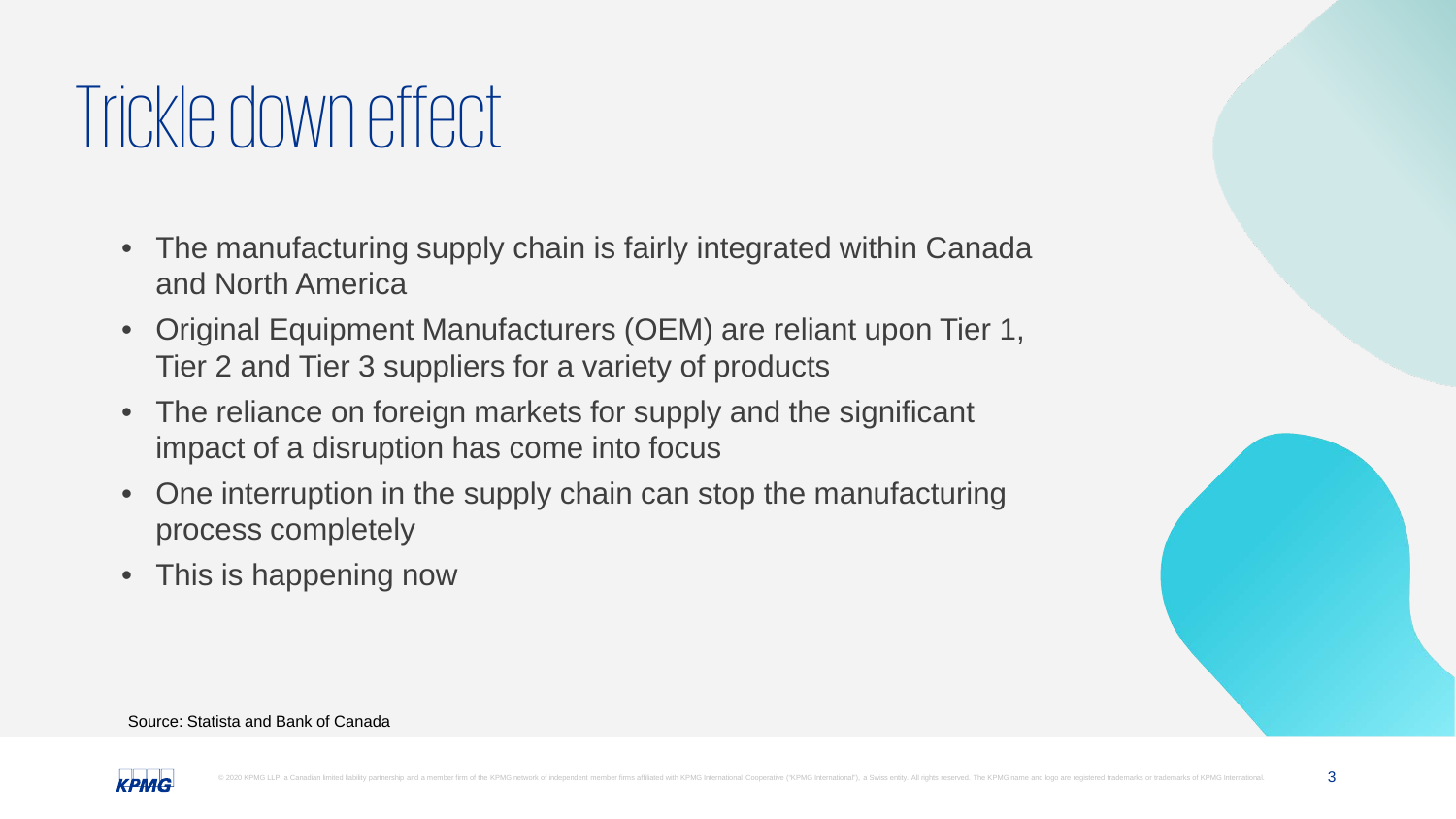### Trickle down effect

- The manufacturing supply chain is fairly integrated within Canada and North America
- Original Equipment Manufacturers (OEM) are reliant upon Tier 1, Tier 2 and Tier 3 suppliers for a variety of products
- The reliance on foreign markets for supply and the significant impact of a disruption has come into focus
- One interruption in the supply chain can stop the manufacturing process completely
- This is happening now



#### Source: Statista and Bank of Canada

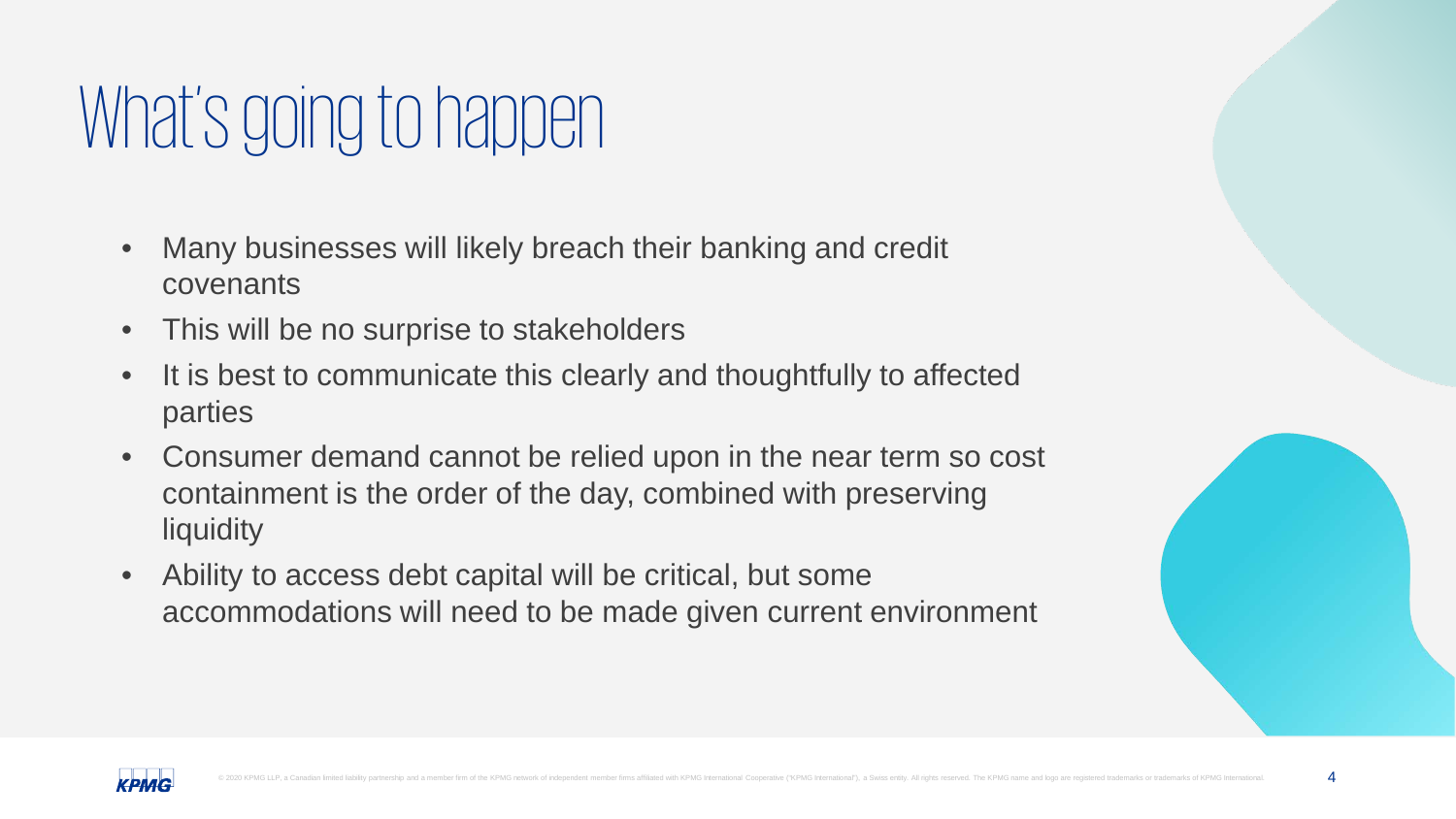### What's going to happen

- Many businesses will likely breach their banking and credit covenants
- This will be no surprise to stakeholders
- It is best to communicate this clearly and thoughtfully to affected parties
- Consumer demand cannot be relied upon in the near term so cost containment is the order of the day, combined with preserving **liquidity**
- Ability to access debt capital will be critical, but some accommodations will need to be made given current environment



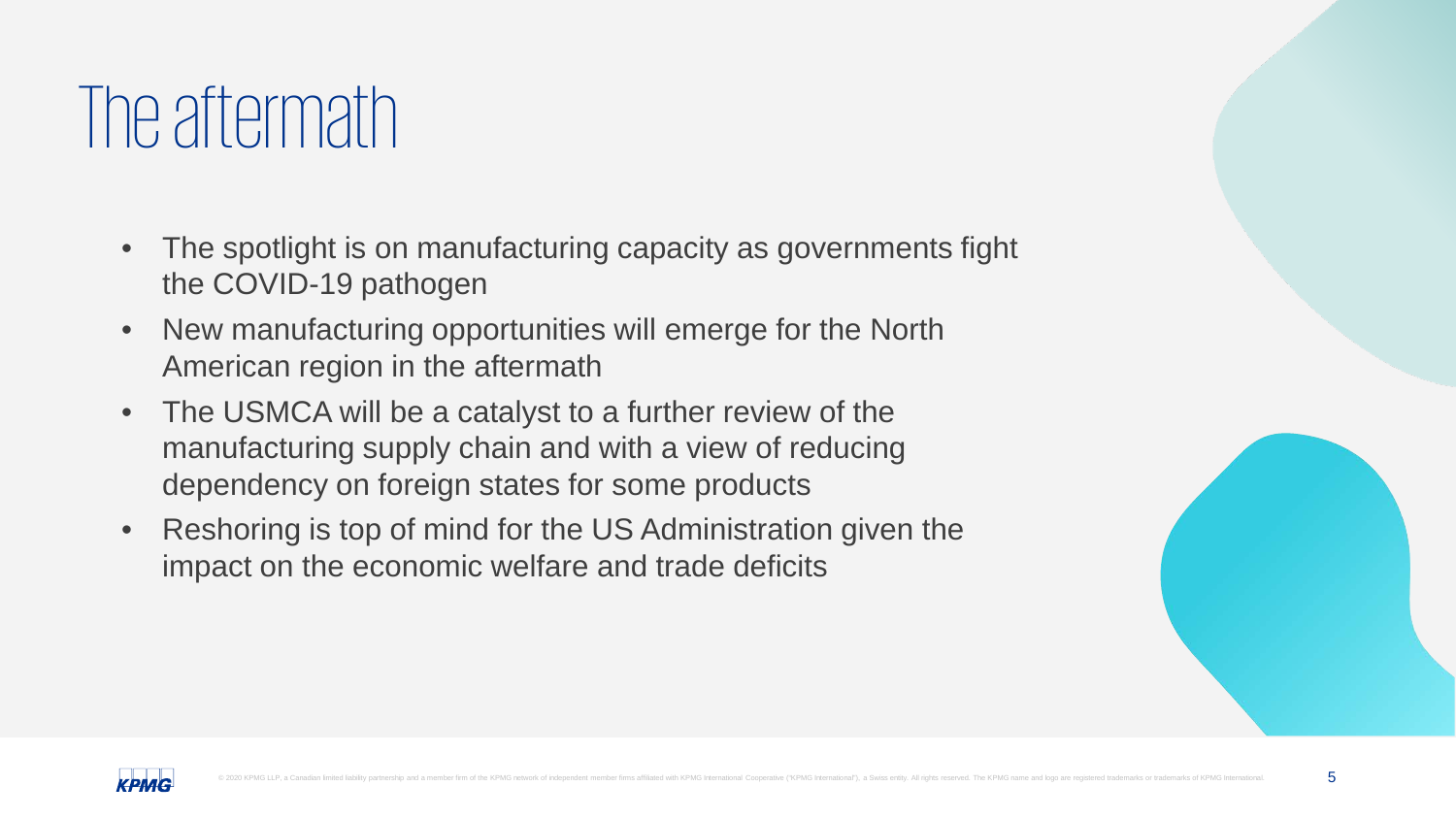#### The aftermath

- The spotlight is on manufacturing capacity as governments fight the COVID-19 pathogen
- New manufacturing opportunities will emerge for the North American region in the aftermath
- The USMCA will be a catalyst to a further review of the manufacturing supply chain and with a view of reducing dependency on foreign states for some products
- Reshoring is top of mind for the US Administration given the impact on the economic welfare and trade deficits



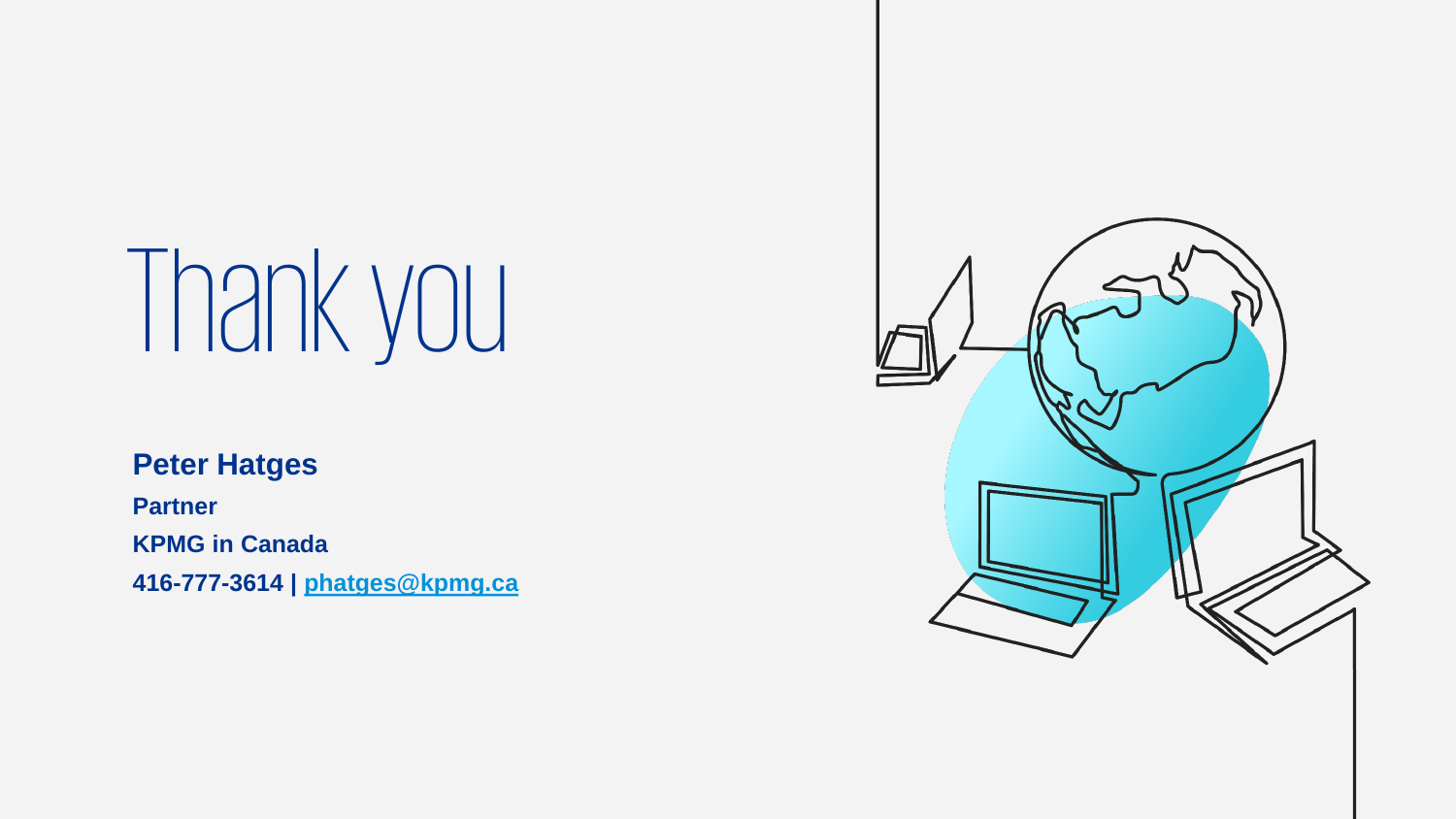# Thank you

#### **Peter Hatges**

**Partner** 

**KPMG in Canada**

**416-777-3614 | [phatges@kpmg.ca](mailto:phatges@kpmg.ca)**